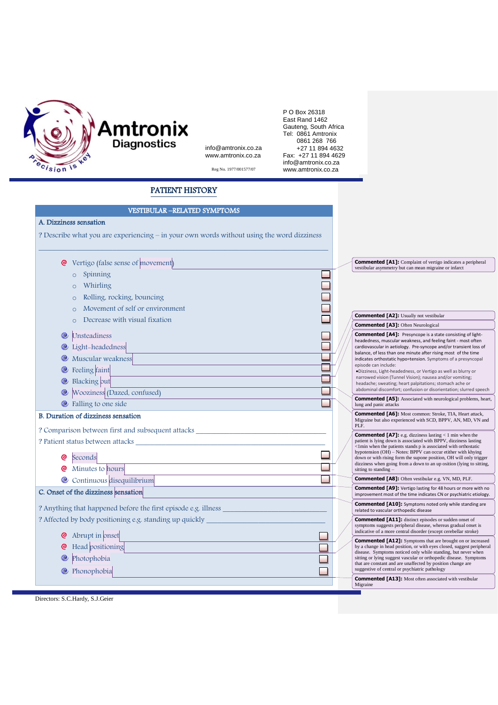

P O Box 26318 Fast Rand 1462 Gauteng, South A Tel: 0861 Amtron P O Box 26318 East Rand 1462 Gauteng, South Africa Tel: 0861 Amtronix 0861 268 766 +27 11 894 4632 Fax: +27 11 894 4629 info@amtronix.co.za Reg No. 1977/001577/07 www.amtronix.co.za

## PATIENT HISTORY

info@amtronix.co.za www.amtronix.co.za

| <b>VESTIBULAR -RELATED SYMPTOMS</b>                                                                                                                                                                                           |  |                                                                                                                                  |                                                                                                                                            |  |
|-------------------------------------------------------------------------------------------------------------------------------------------------------------------------------------------------------------------------------|--|----------------------------------------------------------------------------------------------------------------------------------|--------------------------------------------------------------------------------------------------------------------------------------------|--|
| A. Dizziness sensation                                                                                                                                                                                                        |  |                                                                                                                                  |                                                                                                                                            |  |
|                                                                                                                                                                                                                               |  |                                                                                                                                  |                                                                                                                                            |  |
| ? Describe what you are experiencing – in your own words without using the word dizziness                                                                                                                                     |  |                                                                                                                                  |                                                                                                                                            |  |
|                                                                                                                                                                                                                               |  |                                                                                                                                  |                                                                                                                                            |  |
| <b>@</b> Vertigo (false sense of movement)                                                                                                                                                                                    |  | vestibular asymmetry but can mean migraine or infarct                                                                            | <b>Commented [A1]:</b> Complaint of vertigo indicates a peripheral                                                                         |  |
| Spinning<br>$\circ$                                                                                                                                                                                                           |  |                                                                                                                                  |                                                                                                                                            |  |
| Whirling<br>$\Omega$                                                                                                                                                                                                          |  |                                                                                                                                  |                                                                                                                                            |  |
| Rolling, rocking, bouncing<br>$\circ$                                                                                                                                                                                         |  |                                                                                                                                  |                                                                                                                                            |  |
| Movement of self or environment<br>$\Omega$                                                                                                                                                                                   |  |                                                                                                                                  |                                                                                                                                            |  |
| Decrease with visual fixation<br>$\Omega$                                                                                                                                                                                     |  | <b>Commented [A2]:</b> Usually not vestibular<br><b>Commented [A3]:</b> Often Neurological                                       |                                                                                                                                            |  |
| o<br>Unsteadiness                                                                                                                                                                                                             |  |                                                                                                                                  | <b>Commented [A4]:</b> Presyncope is a state consisting of light-                                                                          |  |
| <sup>1</sup> Light-headedness                                                                                                                                                                                                 |  |                                                                                                                                  | headedness, muscular weakness, and feeling faint - most often<br>cardiovascular in aetiology. Pre-syncope and/or transient loss of         |  |
| Muscular weakness                                                                                                                                                                                                             |  |                                                                                                                                  | balance, of less than one minute after rising most of the time<br>indicates orthostatic hypo=tension. Symptoms of a presyncopal            |  |
| Feeling faint<br>$\bullet$                                                                                                                                                                                                    |  | episode can include:                                                                                                             | ·Dizziness, Light-headedness, or Vertigo as well as blurry or                                                                              |  |
| Blacking out<br>o                                                                                                                                                                                                             |  | narrowed vision (Tunnel Vision); nausea and/or vomiting;                                                                         |                                                                                                                                            |  |
| Wooziness (Dazed, confused)<br>$\bullet$                                                                                                                                                                                      |  | headache; sweating; heart palpitations; stomach ache or                                                                          | abdominal discomfort; confusion or disorientation; slurred speech                                                                          |  |
| <sup>ta</sup> Falling to one side                                                                                                                                                                                             |  | lung and panic attacks                                                                                                           | <b>Commented [A5]:</b> Associated with neurological problems, heart,                                                                       |  |
| <b>B.</b> Duration of dizziness sensation                                                                                                                                                                                     |  |                                                                                                                                  | <b>Commented [A6]:</b> Most common: Stroke, TIA, Heart attack,<br>Migraine but also experienced with SCD, BPPV, AN, MD, VN and             |  |
| ? Comparison between first and subsequent attacks                                                                                                                                                                             |  | PLF.                                                                                                                             |                                                                                                                                            |  |
| Persistent status between attacks and a status of the status of the status of the status of the status of the status of the status of the status of the status of the status of the status of the status of the status of the |  |                                                                                                                                  | <b>Commented [A7]:</b> e.g. dizziness lasting $<$ 1 min when the<br>patient is lying down is associated with BPPV, dizziness lasting       |  |
|                                                                                                                                                                                                                               |  |                                                                                                                                  | <1min when the patients stands p is associated with orthostatic<br>hypotension (OH) – Notes: BPPV can occur etither with khying            |  |
| ◎<br>Seconds                                                                                                                                                                                                                  |  |                                                                                                                                  | down or with rising form the supone position, OH will only trigger<br>dizziness when going from a down to an up osition (lying to sitting, |  |
| Minutes to hours                                                                                                                                                                                                              |  | sitting to standing -                                                                                                            |                                                                                                                                            |  |
| Continuous disequilibrium                                                                                                                                                                                                     |  | <b>Commented [A8]:</b> Often vestibular e.g. VN, MD, PLF.                                                                        | <b>Commented [A9]:</b> Vertigo lasting for 48 hours or more with no                                                                        |  |
| C. Onset of the dizziness sensation                                                                                                                                                                                           |  |                                                                                                                                  | improvement most of the time indicates CN or psychiatric etiology.                                                                         |  |
| ? Anything that happened before the first episode e.g. illness                                                                                                                                                                |  | related to vascular orthopedic disease                                                                                           | <b>Commented [A10]:</b> Symptoms noted only while standing are                                                                             |  |
| ? Affected by body positioning e.g. standing up quickly                                                                                                                                                                       |  | <b>Commented [A11]:</b> distinct episodes or sudden onset of                                                                     | symptoms suggests peripheral disease, whereas gradual onset is<br>indicative of a more central disorder (except cerebellar stroke)         |  |
| $\bullet$ Abrupt in onset                                                                                                                                                                                                     |  |                                                                                                                                  | <b>Commented [A12]:</b> Symptoms that are brought on or increased                                                                          |  |
| Head positioning                                                                                                                                                                                                              |  |                                                                                                                                  | by a change in head position, or with eyes closed, suggest peripheral<br>disease. Symptoms noticed only while standing, but never when     |  |
| Photophobia<br>$^\circledR$                                                                                                                                                                                                   |  | sitting or lying suggest vascular or orthopedic disease. Symptoms<br>that are constant and are unaffected by position change are |                                                                                                                                            |  |
| <sup>@</sup> Phonophobia                                                                                                                                                                                                      |  | suggestive of central or psychiatric pathology                                                                                   | <b>Commented [A13]:</b> Most often associated with vestibular                                                                              |  |
|                                                                                                                                                                                                                               |  | Migraine                                                                                                                         |                                                                                                                                            |  |

Directors: S.C.Hardy, S.J.Geier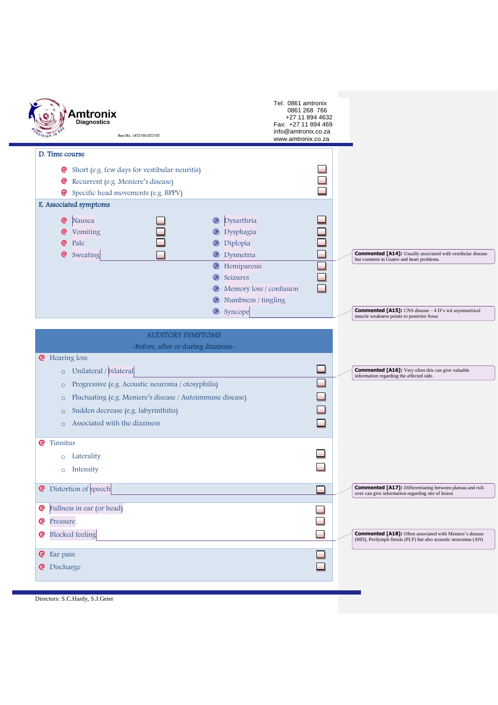|                    | <b>Amtronix</b><br>Diagnostics<br>Rea No. 1977/001577/07                                                                                                                                                                                                                 |                                                                                                                                                                                                                                           | Tel: 0861 amtronix<br>0861 268 766<br>+27 11 894 4632<br>Fax: +27 11 894 469<br>info@amtronix.co.za<br>www.amtronix.co.za |                                                                                                                                                                                                                             |
|--------------------|--------------------------------------------------------------------------------------------------------------------------------------------------------------------------------------------------------------------------------------------------------------------------|-------------------------------------------------------------------------------------------------------------------------------------------------------------------------------------------------------------------------------------------|---------------------------------------------------------------------------------------------------------------------------|-----------------------------------------------------------------------------------------------------------------------------------------------------------------------------------------------------------------------------|
|                    | D. Time course<br>Short (e.g. few days for vestibular neuritis)<br>ତ<br>Recurrent (e.g. Meniere's disease)<br>ଡ<br>Specific head movements (e.g. BPPV)<br>ල<br>E. Associated symptoms<br>@<br>Nausea<br>Vomiting<br><b>@</b><br>@<br>Pale<br>@<br>Sweating               | Dysarthria<br>C<br>Dysphagia<br>o<br><sup>O</sup> Diplopia<br><sup>@</sup> Dysmetria<br><sup>@</sup> Hemiparesis<br><b>C</b> Seizures<br><sup>®</sup> Memory loss / confusion<br><sup>@</sup> Numbness / tingling<br><sup>®</sup> Syncope | J.<br>$\mathcal{L}_{\mathcal{A}}$                                                                                         | <b>Commented [A14]:</b> Usually associated with vestibular disease<br>but common in Gsatro and heart problems.<br><b>Commented [A15]:</b> CNS disease - 4 D's wit asymmetrical<br>muscle weakness points to posterior fossa |
|                    | <b>AUDITORY SYMPTOMS</b><br>-Before, after or during dizziness-<br><b>@</b> Hearing loss                                                                                                                                                                                 |                                                                                                                                                                                                                                           |                                                                                                                           |                                                                                                                                                                                                                             |
|                    | Unilateral / bilateral<br>$\circ$<br>Progressive (e.g. Acoustic neuroma / otosyphilis)<br>$\circ$<br>Fluctuating (e.g. Meniere's disease / Autoimmune disease)<br>$\circ$<br>Sudden decrease (e.g. labyrinthitis)<br>$\circ$<br>Associated with the dizziness<br>$\circ$ |                                                                                                                                                                                                                                           | - 1                                                                                                                       | <b>Commented [A16]:</b> Very often this can give valuable<br>information regarding the affected side.                                                                                                                       |
| <u>ତ</u>           | Tinnitus<br>Laterality<br>$\circ$<br>Intensity<br>$\circ$                                                                                                                                                                                                                |                                                                                                                                                                                                                                           |                                                                                                                           |                                                                                                                                                                                                                             |
| <u>ල</u>           | Distortion of speech                                                                                                                                                                                                                                                     |                                                                                                                                                                                                                                           |                                                                                                                           | <b>Commented [A17]:</b> Differentiating between plateau and roll-<br>over can give information regarding site of lesion                                                                                                     |
| ତ<br>ල<br><u>ତ</u> | Fullness in ear (or head)<br>Pressure<br><b>Blocked</b> feeling                                                                                                                                                                                                          |                                                                                                                                                                                                                                           |                                                                                                                           | <b>Commented [A18]:</b> Often associated with Meniere's disease<br>(MD), Perilymph fistula (PLF) but also acoustic neuronma (AN)                                                                                            |
| ଡ<br>ତ             | Ear pain<br>Discharge                                                                                                                                                                                                                                                    |                                                                                                                                                                                                                                           |                                                                                                                           |                                                                                                                                                                                                                             |

Directors: S.C.Hardy, S.J.Geier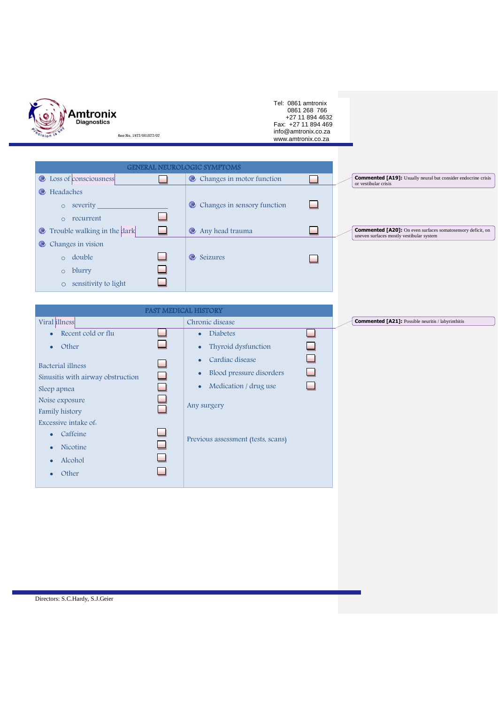